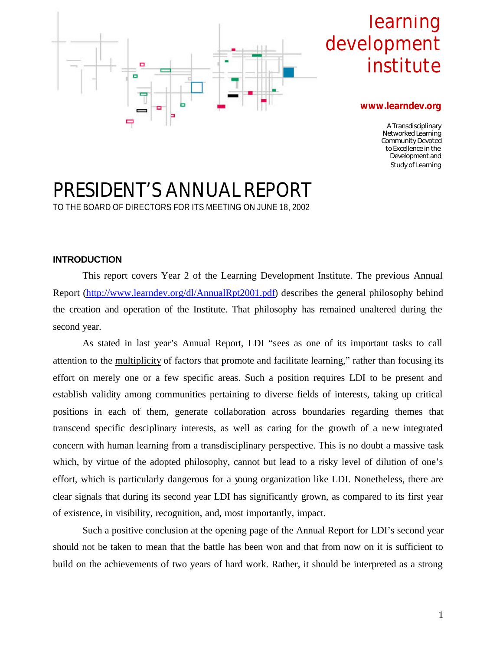

# learning development institute

#### **www.learndev.org**

A Transdisciplinary Networked Learning Community Devoted to Excellence in the Development and Study of Learning

# PRESIDENT'S ANNUAL REPORT TO THE BOARD OF DIRECTORS FOR ITS MEETING ON JUNE 18, 2002

### **INTRODUCTION**

This report covers Year 2 of the Learning Development Institute. The previous Annual Report (http://www.learndev.org/dl/AnnualRpt2001.pdf) describes the general philosophy behind the creation and operation of the Institute. That philosophy has remained unaltered during the second year.

As stated in last year's Annual Report, LDI "sees as one of its important tasks to call attention to the multiplicity of factors that promote and facilitate learning," rather than focusing its effort on merely one or a few specific areas. Such a position requires LDI to be present and establish validity among communities pertaining to diverse fields of interests, taking up critical positions in each of them, generate collaboration across boundaries regarding themes that transcend specific desciplinary interests, as well as caring for the growth of a new integrated concern with human learning from a transdisciplinary perspective. This is no doubt a massive task which, by virtue of the adopted philosophy, cannot but lead to a risky level of dilution of one's effort, which is particularly dangerous for a young organization like LDI. Nonetheless, there are clear signals that during its second year LDI has significantly grown, as compared to its first year of existence, in visibility, recognition, and, most importantly, impact.

Such a positive conclusion at the opening page of the Annual Report for LDI's second year should not be taken to mean that the battle has been won and that from now on it is sufficient to build on the achievements of two years of hard work. Rather, it should be interpreted as a strong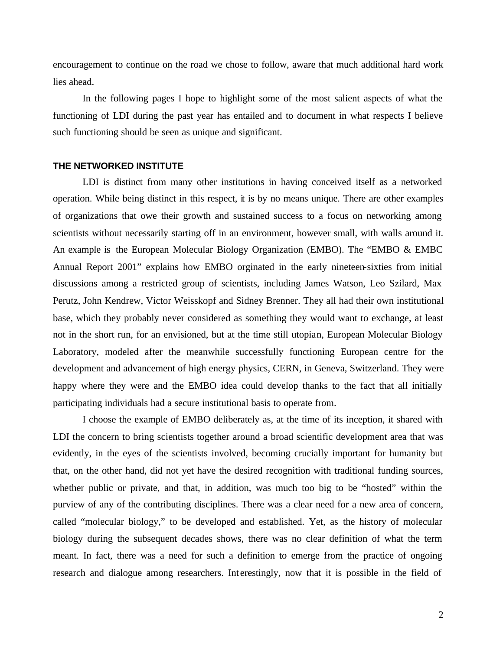encouragement to continue on the road we chose to follow, aware that much additional hard work lies ahead.

In the following pages I hope to highlight some of the most salient aspects of what the functioning of LDI during the past year has entailed and to document in what respects I believe such functioning should be seen as unique and significant.

#### **THE NETWORKED INSTITUTE**

LDI is distinct from many other institutions in having conceived itself as a networked operation. While being distinct in this respect, it is by no means unique. There are other examples of organizations that owe their growth and sustained success to a focus on networking among scientists without necessarily starting off in an environment, however small, with walls around it. An example is the European Molecular Biology Organization (EMBO). The "EMBO & EMBC Annual Report 2001" explains how EMBO orginated in the early nineteen-sixties from initial discussions among a restricted group of scientists, including James Watson, Leo Szilard, Max Perutz, John Kendrew, Victor Weisskopf and Sidney Brenner. They all had their own institutional base, which they probably never considered as something they would want to exchange, at least not in the short run, for an envisioned, but at the time still utopian, European Molecular Biology Laboratory, modeled after the meanwhile successfully functioning European centre for the development and advancement of high energy physics, CERN, in Geneva, Switzerland. They were happy where they were and the EMBO idea could develop thanks to the fact that all initially participating individuals had a secure institutional basis to operate from.

I choose the example of EMBO deliberately as, at the time of its inception, it shared with LDI the concern to bring scientists together around a broad scientific development area that was evidently, in the eyes of the scientists involved, becoming crucially important for humanity but that, on the other hand, did not yet have the desired recognition with traditional funding sources, whether public or private, and that, in addition, was much too big to be "hosted" within the purview of any of the contributing disciplines. There was a clear need for a new area of concern, called "molecular biology," to be developed and established. Yet, as the history of molecular biology during the subsequent decades shows, there was no clear definition of what the term meant. In fact, there was a need for such a definition to emerge from the practice of ongoing research and dialogue among researchers. Interestingly, now that it is possible in the field of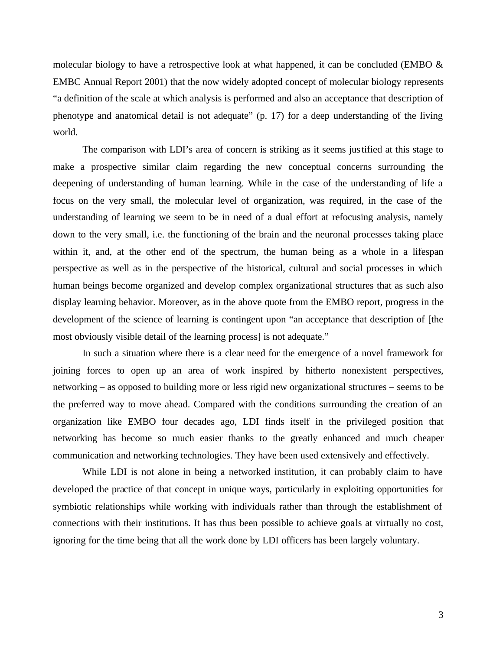molecular biology to have a retrospective look at what happened, it can be concluded (EMBO  $\&$ EMBC Annual Report 2001) that the now widely adopted concept of molecular biology represents "a definition of the scale at which analysis is performed and also an acceptance that description of phenotype and anatomical detail is not adequate" (p. 17) for a deep understanding of the living world.

The comparison with LDI's area of concern is striking as it seems justified at this stage to make a prospective similar claim regarding the new conceptual concerns surrounding the deepening of understanding of human learning. While in the case of the understanding of life a focus on the very small, the molecular level of organization, was required, in the case of the understanding of learning we seem to be in need of a dual effort at refocusing analysis, namely down to the very small, i.e. the functioning of the brain and the neuronal processes taking place within it, and, at the other end of the spectrum, the human being as a whole in a lifespan perspective as well as in the perspective of the historical, cultural and social processes in which human beings become organized and develop complex organizational structures that as such also display learning behavior. Moreover, as in the above quote from the EMBO report, progress in the development of the science of learning is contingent upon "an acceptance that description of [the most obviously visible detail of the learning process] is not adequate."

In such a situation where there is a clear need for the emergence of a novel framework for joining forces to open up an area of work inspired by hitherto nonexistent perspectives, networking – as opposed to building more or less rigid new organizational structures – seems to be the preferred way to move ahead. Compared with the conditions surrounding the creation of an organization like EMBO four decades ago, LDI finds itself in the privileged position that networking has become so much easier thanks to the greatly enhanced and much cheaper communication and networking technologies. They have been used extensively and effectively.

While LDI is not alone in being a networked institution, it can probably claim to have developed the practice of that concept in unique ways, particularly in exploiting opportunities for symbiotic relationships while working with individuals rather than through the establishment of connections with their institutions. It has thus been possible to achieve goals at virtually no cost, ignoring for the time being that all the work done by LDI officers has been largely voluntary.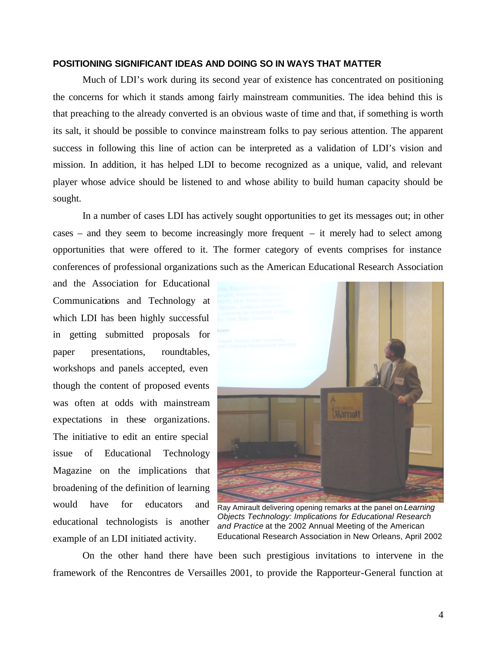#### **POSITIONING SIGNIFICANT IDEAS AND DOING SO IN WAYS THAT MATTER**

Much of LDI's work during its second year of existence has concentrated on positioning the concerns for which it stands among fairly mainstream communities. The idea behind this is that preaching to the already converted is an obvious waste of time and that, if something is worth its salt, it should be possible to convince mainstream folks to pay serious attention. The apparent success in following this line of action can be interpreted as a validation of LDI's vision and mission. In addition, it has helped LDI to become recognized as a unique, valid, and relevant player whose advice should be listened to and whose ability to build human capacity should be sought.

In a number of cases LDI has actively sought opportunities to get its messages out; in other cases – and they seem to become increasingly more frequent – it merely had to select among opportunities that were offered to it. The former category of events comprises for instance conferences of professional organizations such as the American Educational Research Association

and the Association for Educational Communications and Technology at which LDI has been highly successful in getting submitted proposals for paper presentations, roundtables, workshops and panels accepted, even though the content of proposed events was often at odds with mainstream expectations in these organizations. The initiative to edit an entire special issue of Educational Technology Magazine on the implications that broadening of the definition of learning would have for educators and educational technologists is another example of an LDI initiated activity.



Ray Amirault delivering opening remarks at the panel on *Learning Objects Technology: Implications for Educational Research and Practice* at the 2002 Annual Meeting of the American Educational Research Association in New Orleans, April 2002

On the other hand there have been such prestigious invitations to intervene in the framework of the Rencontres de Versailles 2001, to provide the Rapporteur-General function at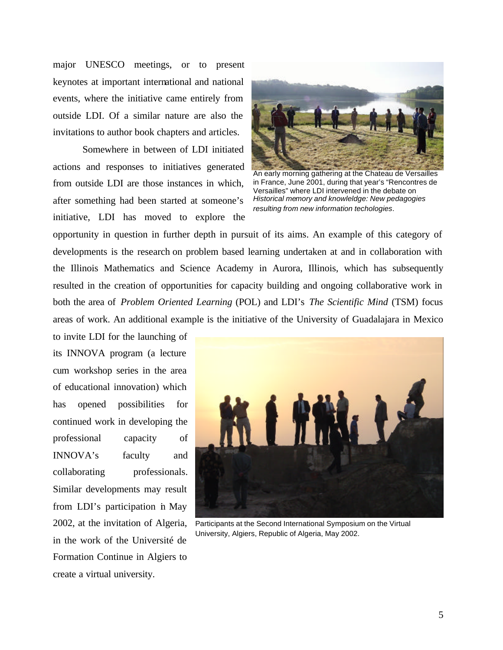major UNESCO meetings, or to present keynotes at important international and national events, where the initiative came entirely from outside LDI. Of a similar nature are also the invitations to author book chapters and articles.

Somewhere in between of LDI initiated actions and responses to initiatives generated from outside LDI are those instances in which, after something had been started at someone's initiative, LDI has moved to explore the



An early morning gathering at the Chateau de Versailles in France, June 2001, during that year's "Rencontres de Versailles" where LDI intervened in the debate on *Historical memory and knowleldge: New pedagogies resulting from new information techologies*.

opportunity in question in further depth in pursuit of its aims. An example of this category of developments is the research on problem based learning undertaken at and in collaboration with the Illinois Mathematics and Science Academy in Aurora, Illinois, which has subsequently resulted in the creation of opportunities for capacity building and ongoing collaborative work in both the area of *Problem Oriented Learning* (POL) and LDI's *The Scientific Mind* (TSM) focus areas of work. An additional example is the initiative of the University of Guadalajara in Mexico

to invite LDI for the launching of its INNOVA program (a lecture cum workshop series in the area of educational innovation) which has opened possibilities for continued work in developing the professional capacity of INNOVA's faculty and collaborating professionals. Similar developments may result from LDI's participation in May 2002, at the invitation of Algeria, in the work of the Université de Formation Continue in Algiers to create a virtual university.



Participants at the Second International Symposium on the Virtual University, Algiers, Republic of Algeria, May 2002.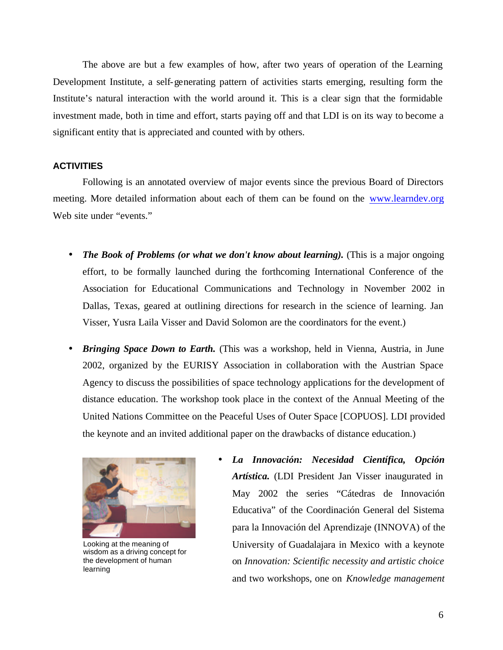The above are but a few examples of how, after two years of operation of the Learning Development Institute, a self-generating pattern of activities starts emerging, resulting form the Institute's natural interaction with the world around it. This is a clear sign that the formidable investment made, both in time and effort, starts paying off and that LDI is on its way to become a significant entity that is appreciated and counted with by others.

#### **ACTIVITIES**

Following is an annotated overview of major events since the previous Board of Directors meeting. More detailed information about each of them can be found on the www.learndev.org Web site under "events."

- *The Book of Problems (or what we don't know about learning).* (This is a major ongoing effort, to be formally launched during the forthcoming International Conference of the Association for Educational Communications and Technology in November 2002 in Dallas, Texas, geared at outlining directions for research in the science of learning. Jan Visser, Yusra Laila Visser and David Solomon are the coordinators for the event.)
- *Bringing Space Down to Earth.* (This was a workshop, held in Vienna, Austria, in June 2002, organized by the EURISY Association in collaboration with the Austrian Space Agency to discuss the possibilities of space technology applications for the development of distance education. The workshop took place in the context of the Annual Meeting of the United Nations Committee on the Peaceful Uses of Outer Space [COPUOS]. LDI provided the keynote and an invited additional paper on the drawbacks of distance education.)



Looking at the meaning of wisdom as a driving concept for the development of human learning

• *La Innovación: Necesidad Científica, Opción Artística.* (LDI President Jan Visser inaugurated in May 2002 the series "Cátedras de Innovación Educativa" of the Coordinación General del Sistema para la Innovación del Aprendizaje (INNOVA) of the University of Guadalajara in Mexico with a keynote on *Innovation: Scientific necessity and artistic choice* and two workshops, one on *Knowledge management*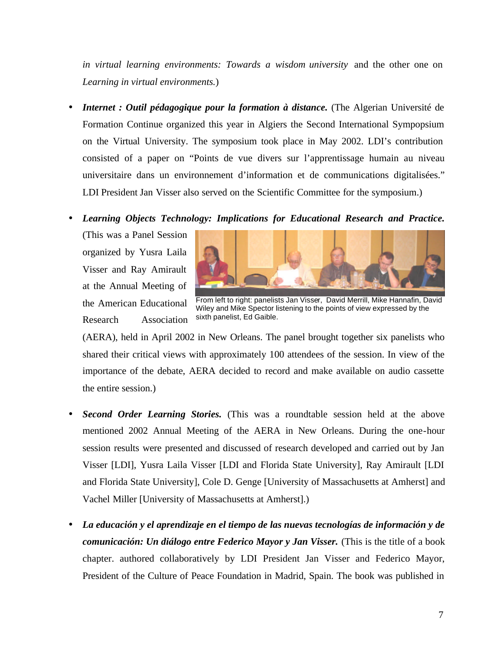*in virtual learning environments: Towards a wisdom university* and the other one on *Learning in virtual environments.*)

- *Internet : Outil pédagogique pour la formation à distance.* (The Algerian Université de Formation Continue organized this year in Algiers the Second International Sympopsium on the Virtual University. The symposium took place in May 2002. LDI's contribution consisted of a paper on "Points de vue divers sur l'apprentissage humain au niveau universitaire dans un environnement d'information et de communications digitalisées." LDI President Jan Visser also served on the Scientific Committee for the symposium.)
- *Learning Objects Technology: Implications for Educational Research and Practice.*

(This was a Panel Session organized by Yusra Laila Visser and Ray Amirault at the Annual Meeting of the American Educational Research Association



From left to right: panelists Jan Visser, David Merrill, Mike Hannafin, David Wiley and Mike Spector listening to the points of view expressed by the sixth panelist, Ed Gaible.

(AERA), held in April 2002 in New Orleans. The panel brought together six panelists who shared their critical views with approximately 100 attendees of the session. In view of the importance of the debate, AERA decided to record and make available on audio cassette the entire session.)

- *Second Order Learning Stories.* (This was a roundtable session held at the above mentioned 2002 Annual Meeting of the AERA in New Orleans. During the one-hour session results were presented and discussed of research developed and carried out by Jan Visser [LDI], Yusra Laila Visser [LDI and Florida State University], Ray Amirault [LDI and Florida State University], Cole D. Genge [University of Massachusetts at Amherst] and Vachel Miller [University of Massachusetts at Amherst].)
- *La educación y el aprendizaje en el tiempo de las nuevas tecnologías de información y de comunicación: Un diálogo entre Federico Mayor y Jan Visser.* (This is the title of a book chapter. authored collaboratively by LDI President Jan Visser and Federico Mayor, President of the Culture of Peace Foundation in Madrid, Spain. The book was published in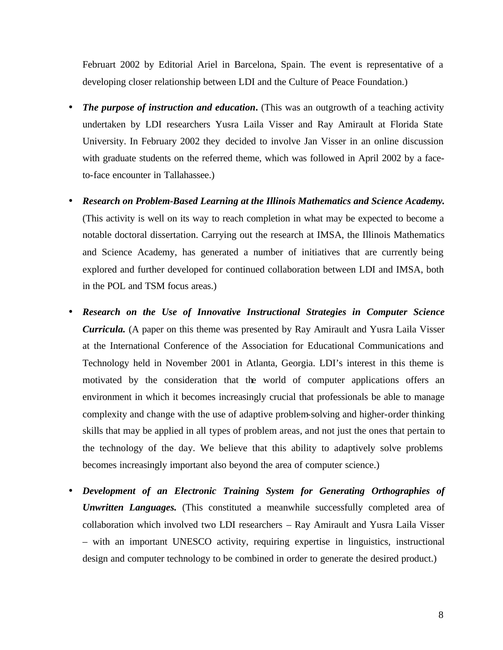Februart 2002 by Editorial Ariel in Barcelona, Spain. The event is representative of a developing closer relationship between LDI and the Culture of Peace Foundation.)

- *The purpose of instruction and education*. (This was an outgrowth of a teaching activity undertaken by LDI researchers Yusra Laila Visser and Ray Amirault at Florida State University. In February 2002 they decided to involve Jan Visser in an online discussion with graduate students on the referred theme, which was followed in April 2002 by a faceto-face encounter in Tallahassee.)
- *Research on Problem-Based Learning at the Illinois Mathematics and Science Academy.* (This activity is well on its way to reach completion in what may be expected to become a notable doctoral dissertation. Carrying out the research at IMSA, the Illinois Mathematics and Science Academy, has generated a number of initiatives that are currently being explored and further developed for continued collaboration between LDI and IMSA, both in the POL and TSM focus areas.)
- *Research on the Use of Innovative Instructional Strategies in Computer Science Curricula.* (A paper on this theme was presented by Ray Amirault and Yusra Laila Visser at the International Conference of the Association for Educational Communications and Technology held in November 2001 in Atlanta, Georgia. LDI's interest in this theme is motivated by the consideration that the world of computer applications offers an environment in which it becomes increasingly crucial that professionals be able to manage complexity and change with the use of adaptive problem-solving and higher-order thinking skills that may be applied in all types of problem areas, and not just the ones that pertain to the technology of the day. We believe that this ability to adaptively solve problems becomes increasingly important also beyond the area of computer science.)
- *Development of an Electronic Training System for Generating Orthographies of Unwritten Languages.* (This constituted a meanwhile successfully completed area of collaboration which involved two LDI researchers – Ray Amirault and Yusra Laila Visser – with an important UNESCO activity, requiring expertise in linguistics, instructional design and computer technology to be combined in order to generate the desired product.)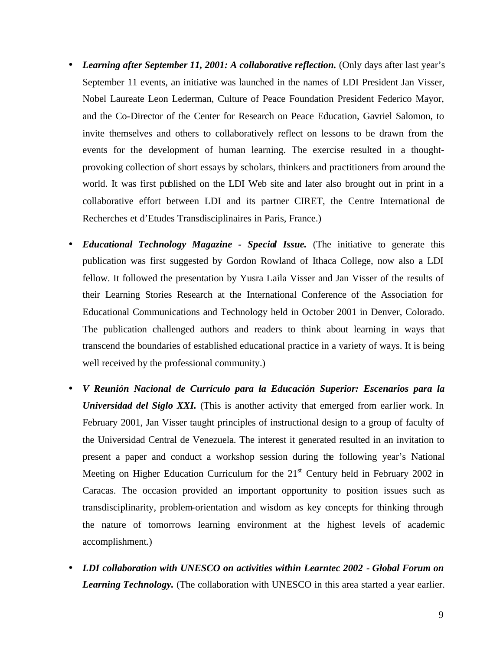- Learning after September 11, 2001: A collaborative reflection. (Only days after last year's September 11 events, an initiative was launched in the names of LDI President Jan Visser, Nobel Laureate Leon Lederman, Culture of Peace Foundation President Federico Mayor, and the Co-Director of the Center for Research on Peace Education, Gavriel Salomon, to invite themselves and others to collaboratively reflect on lessons to be drawn from the events for the development of human learning. The exercise resulted in a thoughtprovoking collection of short essays by scholars, thinkers and practitioners from around the world. It was first published on the LDI Web site and later also brought out in print in a collaborative effort between LDI and its partner CIRET, the Centre International de Recherches et d'Etudes Transdisciplinaires in Paris, France.)
- *Educational Technology Magazine Special Issue.* (The initiative to generate this publication was first suggested by Gordon Rowland of Ithaca College, now also a LDI fellow. It followed the presentation by Yusra Laila Visser and Jan Visser of the results of their Learning Stories Research at the International Conference of the Association for Educational Communications and Technology held in October 2001 in Denver, Colorado. The publication challenged authors and readers to think about learning in ways that transcend the boundaries of established educational practice in a variety of ways. It is being well received by the professional community.)
- *V Reunión Nacional de Currículo para la Educación Superior: Escenarios para la Universidad del Siglo XXI.* (This is another activity that emerged from earlier work. In February 2001, Jan Visser taught principles of instructional design to a group of faculty of the Universidad Central de Venezuela. The interest it generated resulted in an invitation to present a paper and conduct a workshop session during the following year's National Meeting on Higher Education Curriculum for the  $21<sup>st</sup>$  Century held in February 2002 in Caracas. The occasion provided an important opportunity to position issues such as transdisciplinarity, problem-orientation and wisdom as key concepts for thinking through the nature of tomorrows learning environment at the highest levels of academic accomplishment.)
- *LDI collaboration with UNESCO on activities within Learntec 2002 Global Forum on Learning Technology.* (The collaboration with UNESCO in this area started a year earlier.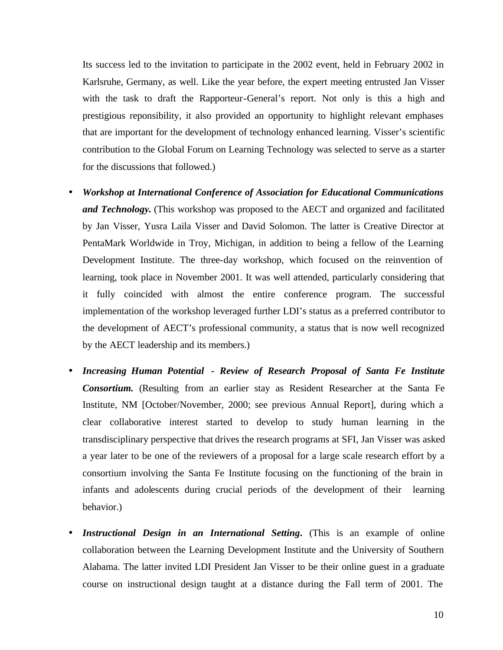Its success led to the invitation to participate in the 2002 event, held in February 2002 in Karlsruhe, Germany, as well. Like the year before, the expert meeting entrusted Jan Visser with the task to draft the Rapporteur-General's report. Not only is this a high and prestigious reponsibility, it also provided an opportunity to highlight relevant emphases that are important for the development of technology enhanced learning. Visser's scientific contribution to the Global Forum on Learning Technology was selected to serve as a starter for the discussions that followed.)

- *Workshop at International Conference of Association for Educational Communications and Technology.* (This workshop was proposed to the AECT and organized and facilitated by Jan Visser, Yusra Laila Visser and David Solomon. The latter is Creative Director at PentaMark Worldwide in Troy, Michigan, in addition to being a fellow of the Learning Development Institute. The three-day workshop, which focused on the reinvention of learning, took place in November 2001. It was well attended, particularly considering that it fully coincided with almost the entire conference program. The successful implementation of the workshop leveraged further LDI's status as a preferred contributor to the development of AECT's professional community, a status that is now well recognized by the AECT leadership and its members.)
- *Increasing Human Potential Review of Research Proposal of Santa Fe Institute Consortium.* (Resulting from an earlier stay as Resident Researcher at the Santa Fe Institute, NM [October/November, 2000; see previous Annual Report], during which a clear collaborative interest started to develop to study human learning in the transdisciplinary perspective that drives the research programs at SFI, Jan Visser was asked a year later to be one of the reviewers of a proposal for a large scale research effort by a consortium involving the Santa Fe Institute focusing on the functioning of the brain in infants and adolescents during crucial periods of the development of their learning behavior.)
- *Instructional Design in an International Setting***.** (This is an example of online collaboration between the Learning Development Institute and the University of Southern Alabama. The latter invited LDI President Jan Visser to be their online guest in a graduate course on instructional design taught at a distance during the Fall term of 2001. The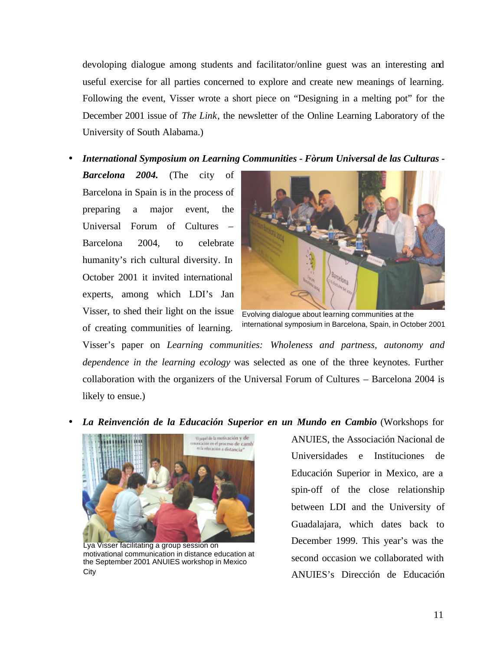devoloping dialogue among students and facilitator/online guest was an interesting and useful exercise for all parties concerned to explore and create new meanings of learning. Following the event, Visser wrote a short piece on "Designing in a melting pot" for the December 2001 issue of *The Link*, the newsletter of the Online Learning Laboratory of the University of South Alabama.)

• *International Symposium on Learning Communities - Fòrum Universal de las Culturas -*

*Barcelona 2004.* (The city of Barcelona in Spain is in the process of preparing a major event, the Universal Forum of Cultures – Barcelona 2004, to celebrate humanity's rich cultural diversity. In October 2001 it invited international experts, among which LDI's Jan Visser, to shed their light on the issue of creating communities of learning.



Evolving dialogue about learning communities at the international symposium in Barcelona, Spain, in October 2001

Visser's paper on *Learning communities: Wholeness and partness, autonomy and dependence in the learning ecology* was selected as one of the three keynotes. Further collaboration with the organizers of the Universal Forum of Cultures – Barcelona 2004 is likely to ensue.)

• *La Reinvención de la Educación Superior en un Mundo en Cambio* (Workshops for



Lya Visser facilitating a group session on motivational communication in distance education at the September 2001 ANUIES workshop in Mexico City

ANUIES, the Associación Nacional de Universidades e Instituciones de Educación Superior in Mexico, are a spin-off of the close relationship between LDI and the University of Guadalajara, which dates back to December 1999. This year's was the second occasion we collaborated with ANUIES's Dirección de Educación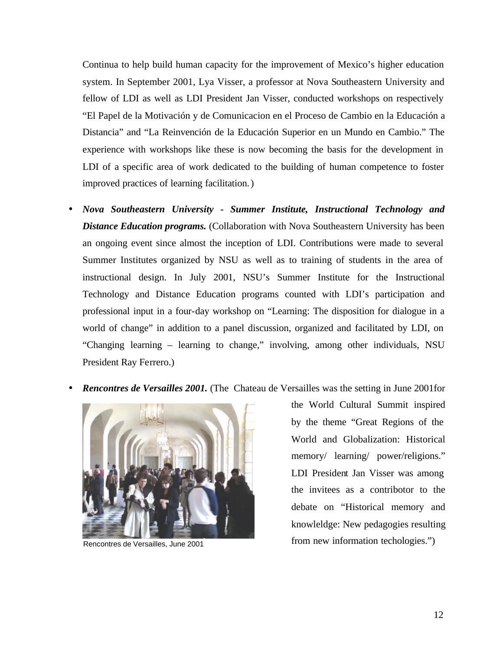Continua to help build human capacity for the improvement of Mexico's higher education system. In September 2001, Lya Visser, a professor at Nova Southeastern University and fellow of LDI as well as LDI President Jan Visser, conducted workshops on respectively "El Papel de la Motivación y de Comunicacion en el Proceso de Cambio en la Educación a Distancia" and "La Reinvención de la Educación Superior en un Mundo en Cambio." The experience with workshops like these is now becoming the basis for the development in LDI of a specific area of work dedicated to the building of human competence to foster improved practices of learning facilitation.)

- *Nova Southeastern University Summer Institute, Instructional Technology and Distance Education programs.* (Collaboration with Nova Southeastern University has been an ongoing event since almost the inception of LDI. Contributions were made to several Summer Institutes organized by NSU as well as to training of students in the area of instructional design. In July 2001, NSU's Summer Institute for the Instructional Technology and Distance Education programs counted with LDI's participation and professional input in a four-day workshop on "Learning: The disposition for dialogue in a world of change" in addition to a panel discussion, organized and facilitated by LDI, on "Changing learning – learning to change," involving, among other individuals, NSU President Ray Ferrero.)
- *Rencontres de Versailles 2001.* (The Chateau de Versailles was the setting in June 2001for



the World Cultural Summit inspired by the theme "Great Regions of the World and Globalization: Historical memory/ learning/ power/religions." LDI President Jan Visser was among the invitees as a contribotor to the debate on "Historical memory and knowleldge: New pedagogies resulting Rencontres de Versailles, June 2001